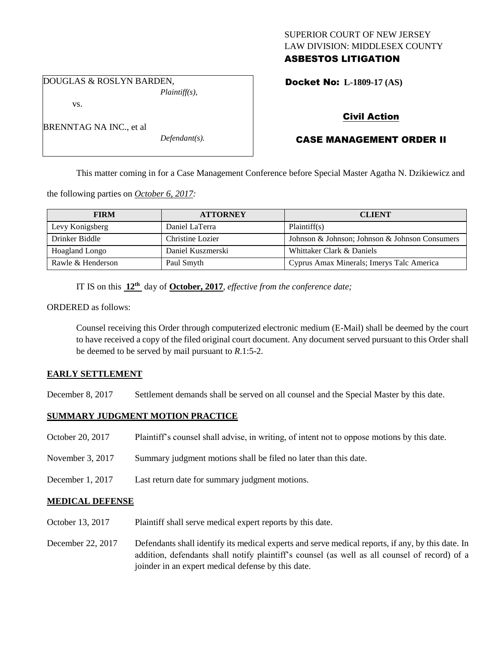## SUPERIOR COURT OF NEW JERSEY LAW DIVISION: MIDDLESEX COUNTY ASBESTOS LITIGATION

DOUGLAS & ROSLYN BARDEN, *Plaintiff(s),*

vs.

Docket No: **L-1809-17 (AS)** 

# Civil Action

# CASE MANAGEMENT ORDER II

This matter coming in for a Case Management Conference before Special Master Agatha N. Dzikiewicz and

the following parties on *October 6, 2017:*

| <b>FIRM</b>       | <b>ATTORNEY</b>   | <b>CLIENT</b>                                  |
|-------------------|-------------------|------------------------------------------------|
| Levy Konigsberg   | Daniel LaTerra    | Plaintiff(s)                                   |
| Drinker Biddle    | Christine Lozier  | Johnson & Johnson; Johnson & Johnson Consumers |
| Hoagland Longo    | Daniel Kuszmerski | Whittaker Clark & Daniels                      |
| Rawle & Henderson | Paul Smyth        | Cyprus Amax Minerals; Imerys Talc America      |

IT IS on this  $12<sup>th</sup>$  day of **October, 2017**, *effective from the conference date*;

ORDERED as follows:

Counsel receiving this Order through computerized electronic medium (E-Mail) shall be deemed by the court to have received a copy of the filed original court document. Any document served pursuant to this Order shall be deemed to be served by mail pursuant to *R*.1:5-2.

## **EARLY SETTLEMENT**

December 8, 2017 Settlement demands shall be served on all counsel and the Special Master by this date.

## **SUMMARY JUDGMENT MOTION PRACTICE**

- October 20, 2017 Plaintiff's counsel shall advise, in writing, of intent not to oppose motions by this date.
- November 3, 2017 Summary judgment motions shall be filed no later than this date.
- December 1, 2017 Last return date for summary judgment motions.

## **MEDICAL DEFENSE**

- October 13, 2017 Plaintiff shall serve medical expert reports by this date.
- December 22, 2017 Defendants shall identify its medical experts and serve medical reports, if any, by this date. In addition, defendants shall notify plaintiff's counsel (as well as all counsel of record) of a joinder in an expert medical defense by this date.

BRENNTAG NA INC., et al

*Defendant(s).*